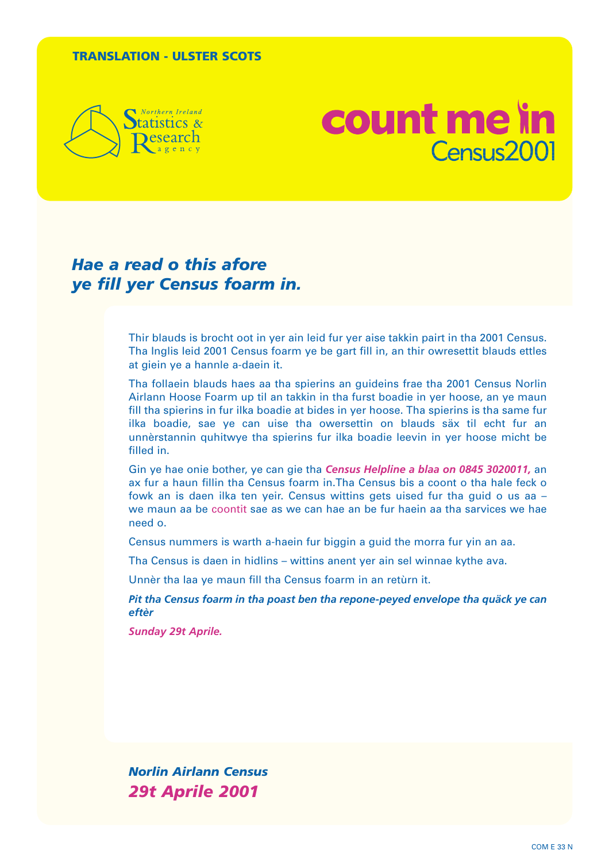#### **TRANSLATION - ULSTER SCOTS**



## count me in Census2001

## *Hae a read o this afore ye fill yer Census foarm in.*

Thir blauds is brocht oot in yer ain leid fur yer aise takkin pairt in tha 2001 Census. Tha Inglis leid 2001 Census foarm ye be gart fill in, an thir owresettit blauds ettles at giein ye a hannle a-daein it.

Tha follaein blauds haes aa tha spierins an guideins frae tha 2001 Census Norlin Airlann Hoose Foarm up til an takkin in tha furst boadie in yer hoose, an ye maun fill tha spierins in fur ilka boadie at bides in yer hoose. Tha spierins is tha same fur ilka boadie, sae ye can uise tha owersettin on blauds säx til echt fur an unnèrstannin quhitwye tha spierins fur ilka boadie leevin in yer hoose micht be filled in.

Gin ye hae onie bother, ye can gie tha *Census Helpline a blaa on 0845 3020011,* an ax fur a haun fillin tha Census foarm in.Tha Census bis a coont o tha hale feck o fowk an is daen ilka ten yeir. Census wittins gets uised fur tha guid o us aa – we maun aa be coontit sae as we can hae an be fur haein aa tha sarvices we hae need o.

Census nummers is warth a-haein fur biggin a guid the morra fur yin an aa.

Tha Census is daen in hidlins – wittins anent yer ain sel winnae kythe ava.

Unnèr tha laa ye maun fill tha Census foarm in an retùrn it.

*Pit tha Census foarm in tha poast ben tha repone-peyed envelope tha quäck ye can eftèr* 

*Sunday 29t Aprile.*

*Norlin Airlann Census 29t Aprile 2001*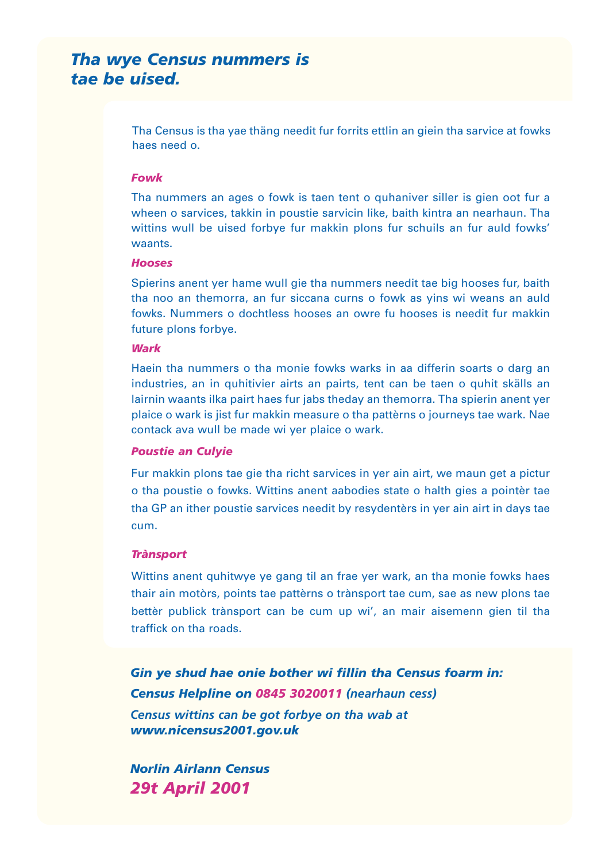## *Tha wye Census nummers is tae be uised.*

Tha Census is tha yae thäng needit fur forrits ettlin an giein tha sarvice at fowks haes need o.

#### *Fowk*

Tha nummers an ages o fowk is taen tent o quhaniver siller is gien oot fur a wheen o sarvices, takkin in poustie sarvicin like, baith kintra an nearhaun. Tha wittins wull be uised forbye fur makkin plons fur schuils an fur auld fowks' waants.

#### *Hooses*

Spierins anent yer hame wull gie tha nummers needit tae big hooses fur, baith tha noo an themorra, an fur siccana curns o fowk as yins wi weans an auld fowks. Nummers o dochtless hooses an owre fu hooses is needit fur makkin future plons forbye.

#### *Wark*

Haein tha nummers o tha monie fowks warks in aa differin soarts o darg an industries, an in quhitivier airts an pairts, tent can be taen o quhit skälls an lairnin waants ilka pairt haes fur jabs theday an themorra. Tha spierin anent yer plaice o wark is jist fur makkin measure o tha pattèrns o journeys tae wark. Nae contack ava wull be made wi yer plaice o wark.

#### *Poustie an Culyie*

Fur makkin plons tae gie tha richt sarvices in yer ain airt, we maun get a pictur o tha poustie o fowks. Wittins anent aabodies state o halth gies a pointèr tae tha GP an ither poustie sarvices needit by resydentèrs in yer ain airt in days tae cum.

#### *Trànsport*

Wittins anent quhitwye ye gang til an frae yer wark, an tha monie fowks haes thair ain motòrs, points tae pattèrns o trànsport tae cum, sae as new plons tae bettèr publick trànsport can be cum up wi', an mair aisemenn gien til tha traffick on tha roads.

*Gin ye shud hae onie bother wi fillin tha Census foarm in: Census Helpline on 0845 3020011 (nearhaun cess) Census wittins can be got forbye on tha wab at www.nicensus2001.gov.uk*

*Norlin Airlann Census 29t April 2001*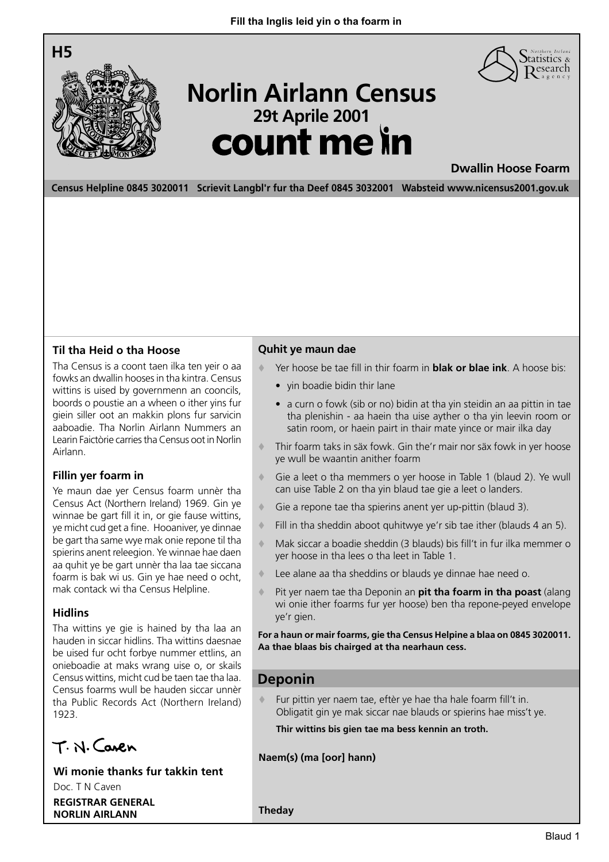



# <sup>29t Aprile 2001</sup><br>**COUNT Me in Norlin Airlann Census**

**Dwallin Hoose Foarm**

**Census Helpline 0845 3020011 Scrievit Langbl'r fur tha Deef 0845 3032001 Wabsteid www.nicensus2001.gov.uk**

#### **Til tha Heid o tha Hoose**

Tha Census is a coont taen ilka ten yeir o aa fowks an dwallin hooses in tha kintra. Census wittins is uised by governmenn an cooncils. boords o poustie an a wheen o ither yins fur giein siller oot an makkin plons fur sarvicin aaboadie. Tha Norlin Airlann Nummers an Learin Faictòrie carries tha Census oot in Norlin Airlann.

#### **Fillin yer foarm in**

Ye maun dae yer Census foarm unnèr tha Census Act (Northern Ireland) 1969. Gin ye winnae be gart fill it in, or gie fause wittins, ye micht cud get a fine. Hooaniver, ye dinnae be gart tha same wye mak onie repone til tha spierins anent releegion. Ye winnae hae daen aa quhit ye be gart unnèr tha laa tae siccana foarm is bak wi us. Gin ye hae need o ocht, mak contack wi tha Census Helpline.

#### **Hidlins**

Tha wittins ye gie is hained by tha laa an hauden in siccar hidlins. Tha wittins daesnae be uised fur ocht forbye nummer ettlins, an onieboadie at maks wrang uise o, or skails Census wittins, micht cud be taen tae tha laa. Census foarms wull be hauden siccar unnèr tha Public Records Act (Northern Ireland) 1923.

T. N. Caren

**Wi monie thanks fur takkin tent**

Doc. T N Caven **REGISTRAR GENERAL NORLIN AIRLANN**

#### **Quhit ye maun dae**

- Yer hoose be tae fill in thir foarm in **blak or blae ink**. A hoose bis:
	- yin boadie bidin thir lane
	- a curn o fowk (sib or no) bidin at tha yin steidin an aa pittin in tae tha plenishin - aa haein tha uise ayther o tha yin leevin room or satin room, or haein pairt in thair mate yince or mair ilka day
- Thir foarm taks in säx fowk. Gin the'r mair nor säx fowk in yer hoose ye wull be waantin anither foarm
- Gie a leet o tha memmers o yer hoose in Table 1 (blaud 2). Ye wull can uise Table 2 on tha yin blaud tae gie a leet o landers.
- Gie a repone tae tha spierins anent yer up-pittin (blaud 3).
- Fill in tha sheddin aboot quhitwye ye'r sib tae ither (blauds 4 an 5).
- Mak siccar a boadie sheddin (3 blauds) bis fill't in fur ilka memmer o yer hoose in tha lees o tha leet in Table 1.
- Lee alane aa tha sheddins or blauds ye dinnae hae need o.
- Pit yer naem tae tha Deponin an **pit tha foarm in tha poast** (alang wi onie ither foarms fur yer hoose) ben tha repone-peyed envelope ye'r gien.

**For a haun or mair foarms, gie tha Census Helpine a blaa on 0845 3020011. Aa thae blaas bis chairged at tha nearhaun cess.**

#### **Deponin**

 Fur pittin yer naem tae, eftèr ye hae tha hale foarm fill't in. Obligatit gin ye mak siccar nae blauds or spierins hae miss't ye.

**Thir wittins bis gien tae ma bess kennin an troth.**

#### **Naem(s) (ma [oor] hann)**

**Theday**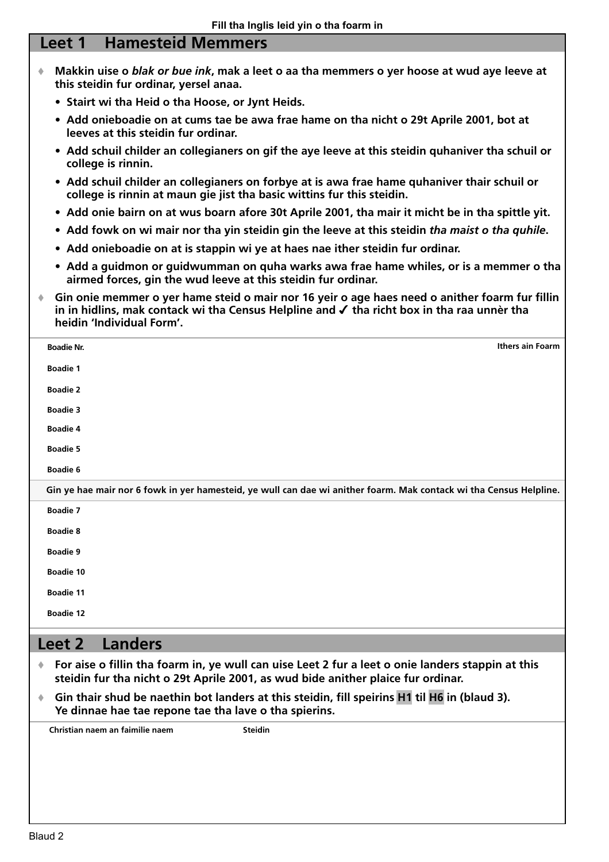### **Leet 1 Hamesteid Memmers**

- **Makkin uise o** *blak or bue ink***, mak a leet o aa tha memmers o yer hoose at wud aye leeve at this steidin fur ordinar, yersel anaa.**
	- **Stairt wi tha Heid o tha Hoose, or Jynt Heids.**
	- **Add onieboadie on at cums tae be awa frae hame on tha nicht o 29t Aprile 2001, bot at leeves at this steidin fur ordinar.**
	- **Add schuil childer an collegianers on gif the aye leeve at this steidin quhaniver tha schuil or college is rinnin.**
	- **Add schuil childer an collegianers on forbye at is awa frae hame quhaniver thair schuil or college is rinnin at maun gie jist tha basic wittins fur this steidin.**
	- **Add onie bairn on at wus boarn afore 30t Aprile 2001, tha mair it micht be in tha spittle yit.**
	- **Add fowk on wi mair nor tha yin steidin gin the leeve at this steidin** *tha maist o tha quhile***.**
	- **Add onieboadie on at is stappin wi ye at haes nae ither steidin fur ordinar.**
	- **Add a guidmon or guidwumman on quha warks awa frae hame whiles, or is a memmer o tha airmed forces, gin the wud leeve at this steidin fur ordinar.**
- **Gin onie memmer o yer hame steid o mair nor 16 yeir o age haes need o anither foarm fur fillin in in hidlins, mak contack wi tha Census Helpline and** ✔ **tha richt box in tha raa unnèr tha heidin 'Individual Form'.**

| <b>Boadie Nr.</b> | Ithers ain Foarm                                                                                                   |
|-------------------|--------------------------------------------------------------------------------------------------------------------|
| <b>Boadie 1</b>   |                                                                                                                    |
| <b>Boadie 2</b>   |                                                                                                                    |
| <b>Boadie 3</b>   |                                                                                                                    |
| <b>Boadie 4</b>   |                                                                                                                    |
| <b>Boadie 5</b>   |                                                                                                                    |
| <b>Boadie 6</b>   |                                                                                                                    |
|                   | Gin ye hae mair nor 6 fowk in yer hamesteid, ye wull can dae wi anither foarm. Mak contack wi tha Census Helpline. |
| <b>Boadie 7</b>   |                                                                                                                    |
| <b>Boadie 8</b>   |                                                                                                                    |
| <b>Boadie 9</b>   |                                                                                                                    |
| <b>Boadie 10</b>  |                                                                                                                    |
| <b>Boadie 11</b>  |                                                                                                                    |
| <b>Boadie 12</b>  |                                                                                                                    |
|                   |                                                                                                                    |

## **Leet 2 Landers**

- **For aise o fillin tha foarm in, ye wull can uise Leet 2 fur a leet o onie landers stappin at this steidin fur tha nicht o 29t Aprile 2001, as wud bide anither plaice fur ordinar.**
- **Gin thair shud be naethin bot landers at this steidin, fill speirins H1 til H6 in (blaud 3). Ye dinnae hae tae repone tae tha lave o tha spierins.**

**Christian naem an faimilie naem Steidin**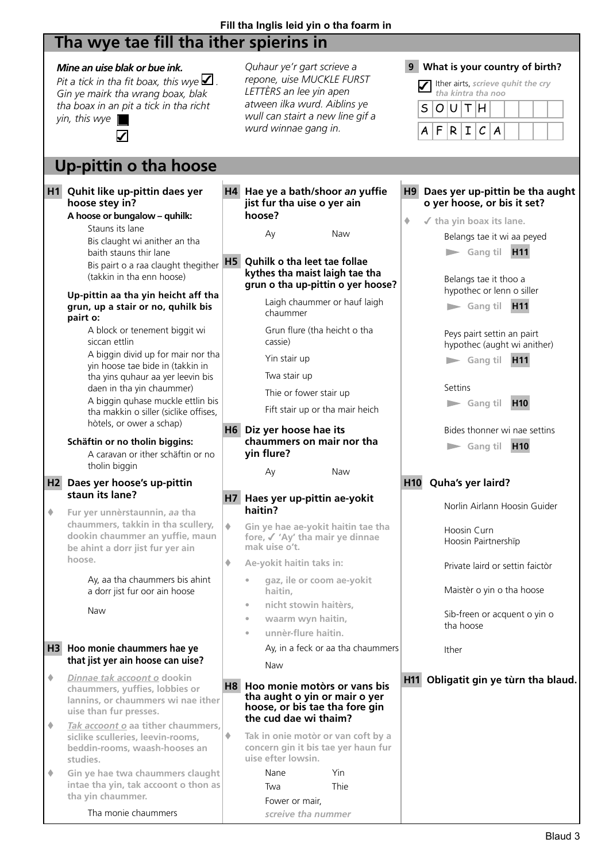## **Fill tha Inglis leid yin o tha foarm in**

## **Tha wye tae fill tha ither spierins in**

|   | Mine an uise blak or bue ink.<br>Pit a tick in tha fit boax, this wye $\blacktriangle$ .<br>Gin ye mairk tha wrang boax, blak<br>tha boax in an pit a tick in tha richt<br>yin, this wye<br>$\boldsymbol{\mathcal{L}}$                                                                                                                                                                                                                                                                                                                                                                                     |                | Quhaur ye'r gart scrieve a<br>repone, uise MUCKLE FURST<br>LETTÈRS an lee yin apen<br>atween ilka wurd. Aiblins ye<br>wull can stairt a new line gif a<br>wurd winnae gang in.                                                                                                                                                                                                    | 9               | What is your country of birth?<br>Ither airts, scrieve quhit the cry<br>tha kintra tha noo<br>O U T H<br>S<br>F<br>$\vert R \vert$<br>$\mathbf I$<br>$\mathcal C$<br>A<br>$\boldsymbol{A}$                                                                                                                                                                                                                                                       |
|---|------------------------------------------------------------------------------------------------------------------------------------------------------------------------------------------------------------------------------------------------------------------------------------------------------------------------------------------------------------------------------------------------------------------------------------------------------------------------------------------------------------------------------------------------------------------------------------------------------------|----------------|-----------------------------------------------------------------------------------------------------------------------------------------------------------------------------------------------------------------------------------------------------------------------------------------------------------------------------------------------------------------------------------|-----------------|--------------------------------------------------------------------------------------------------------------------------------------------------------------------------------------------------------------------------------------------------------------------------------------------------------------------------------------------------------------------------------------------------------------------------------------------------|
|   | Up-pittin o tha hoose                                                                                                                                                                                                                                                                                                                                                                                                                                                                                                                                                                                      |                |                                                                                                                                                                                                                                                                                                                                                                                   |                 |                                                                                                                                                                                                                                                                                                                                                                                                                                                  |
|   | H1 Quhit like up-pittin daes yer<br>hoose stey in?<br>A hoose or bungalow - quhilk:<br>Stauns its lane<br>Bis claught wi anither an tha<br>baith stauns thir lane<br>Bis pairt o a raa claught thegither<br>(takkin in tha enn hoose)<br>Up-pittin aa tha yin heicht aff tha<br>grun, up a stair or no, quhilk bis<br>pairt o:<br>A block or tenement biggit wi<br>siccan ettlin<br>A biggin divid up for mair nor tha<br>yin hoose tae bide in (takkin in<br>tha yins quhaur aa yer leevin bis<br>daen in tha yin chaummer)<br>A biggin guhase muckle ettlin bis<br>tha makkin o siller (siclike offises, | H <sub>5</sub> | H4 Hae ye a bath/shoor an yuffie<br>jist fur tha uise o yer ain<br>hoose?<br>Ay<br>Naw<br>Quhilk o tha leet tae follae<br>kythes tha maist laigh tae tha<br>grun o tha up-pittin o yer hoose?<br>Laigh chaummer or hauf laigh<br>chaummer<br>Grun flure (tha heicht o tha<br>cassie)<br>Yin stair up<br>Twa stair up<br>Thie or fower stair up<br>Fift stair up or tha mair heich | H9<br>۰         | Daes yer up-pittin be tha aught<br>o yer hoose, or bis it set?<br>$\checkmark$ tha yin boax its lane.<br>Belangs tae it wi aa peyed<br>$\blacktriangleright$ Gang til<br>H <sub>11</sub><br>Belangs tae it thoo a<br>hypothec or lenn o siller<br>Gang til H11<br>Peys pairt settin an pairt<br>hypothec (aught wi anither)<br>$\blacktriangleright$ Gang til<br>H <sub>11</sub><br>Settins<br>H <sub>10</sub><br>$\blacktriangleright$ Gang til |
|   | hòtels, or ower a schap)<br>Schäftin or no tholin biggins:<br>A caravan or ither schäftin or no<br>tholin biggin                                                                                                                                                                                                                                                                                                                                                                                                                                                                                           |                | H6 Diz yer hoose hae its<br>chaummers on mair nor tha<br>yin flure?<br>Naw<br>Ay                                                                                                                                                                                                                                                                                                  |                 | Bides thonner wi nae settins<br>H <sub>10</sub><br>$\blacktriangleright$ Gang til                                                                                                                                                                                                                                                                                                                                                                |
|   | H2 Daes yer hoose's up-pittin<br>staun its lane?                                                                                                                                                                                                                                                                                                                                                                                                                                                                                                                                                           |                |                                                                                                                                                                                                                                                                                                                                                                                   | H <sub>10</sub> | Quha's yer laird?                                                                                                                                                                                                                                                                                                                                                                                                                                |
|   | Fur yer unnèrstaunnin, aa tha                                                                                                                                                                                                                                                                                                                                                                                                                                                                                                                                                                              | H7             | Haes yer up-pittin ae-yokit<br>haitin?                                                                                                                                                                                                                                                                                                                                            |                 | Norlin Airlann Hoosin Guider                                                                                                                                                                                                                                                                                                                                                                                                                     |
|   | chaummers, takkin in tha scullery,<br>dookin chaummer an yuffie, maun<br>be ahint a dorr jist fur yer ain                                                                                                                                                                                                                                                                                                                                                                                                                                                                                                  | ۰              | Gin ye hae ae-yokit haitin tae tha<br>fore, √ 'Ay' tha mair ye dinnae<br>mak uise o't.                                                                                                                                                                                                                                                                                            |                 | Hoosin Curn<br>Hoosin Pairtnershïp                                                                                                                                                                                                                                                                                                                                                                                                               |
|   | hoose.                                                                                                                                                                                                                                                                                                                                                                                                                                                                                                                                                                                                     | ۰              | Ae-yokit haitin taks in:                                                                                                                                                                                                                                                                                                                                                          |                 | Private laird or settin faictòr                                                                                                                                                                                                                                                                                                                                                                                                                  |
|   | Ay, aa tha chaummers bis ahint<br>a dorr jist fur oor ain hoose                                                                                                                                                                                                                                                                                                                                                                                                                                                                                                                                            |                | gaz, ile or coom ae-yokit<br>haitin,                                                                                                                                                                                                                                                                                                                                              |                 | Maistèr o yin o tha hoose                                                                                                                                                                                                                                                                                                                                                                                                                        |
|   | Naw                                                                                                                                                                                                                                                                                                                                                                                                                                                                                                                                                                                                        |                | nicht stowin haitèrs,<br>$\bullet$<br>waarm wyn haitin,<br>$\bullet$<br>unnèr-flure haitin.<br>ò                                                                                                                                                                                                                                                                                  |                 | Sib-freen or acquent o yin o<br>tha hoose                                                                                                                                                                                                                                                                                                                                                                                                        |
|   | H3 Hoo monie chaummers hae ye<br>that jist yer ain hoose can uise?                                                                                                                                                                                                                                                                                                                                                                                                                                                                                                                                         |                | Ay, in a feck or aa tha chaummers<br>Naw                                                                                                                                                                                                                                                                                                                                          |                 | Ither                                                                                                                                                                                                                                                                                                                                                                                                                                            |
| ۰ | Dinnae tak accoont o dookin<br>chaummers, yuffies, lobbies or<br>lannins, or chaummers wi nae ither<br>uise than fur presses.                                                                                                                                                                                                                                                                                                                                                                                                                                                                              |                | H8 Hoo monie motòrs or vans bis<br>tha aught o yin or mair o yer<br>hoose, or bis tae tha fore gin<br>the cud dae wi thaim?                                                                                                                                                                                                                                                       |                 | H11 Obligatit gin ye tùrn tha blaud.                                                                                                                                                                                                                                                                                                                                                                                                             |
| ۰ | Tak accoont o aa tither chaummers,<br>siclike sculleries, leevin-rooms,<br>beddin-rooms, waash-hooses an<br>studies.                                                                                                                                                                                                                                                                                                                                                                                                                                                                                       | ۰              | Tak in onie motòr or van coft by a<br>concern gin it bis tae yer haun fur<br>uise efter lowsin.                                                                                                                                                                                                                                                                                   |                 |                                                                                                                                                                                                                                                                                                                                                                                                                                                  |
| ۰ | Gin ye hae twa chaummers claught<br>intae tha yin, tak accoont o thon as<br>tha yin chaummer.                                                                                                                                                                                                                                                                                                                                                                                                                                                                                                              |                | Yin<br>Nane<br>Thie<br>Twa                                                                                                                                                                                                                                                                                                                                                        |                 |                                                                                                                                                                                                                                                                                                                                                                                                                                                  |
|   | Tha monie chaummers                                                                                                                                                                                                                                                                                                                                                                                                                                                                                                                                                                                        |                | Fower or mair,<br>screive tha nummer                                                                                                                                                                                                                                                                                                                                              |                 |                                                                                                                                                                                                                                                                                                                                                                                                                                                  |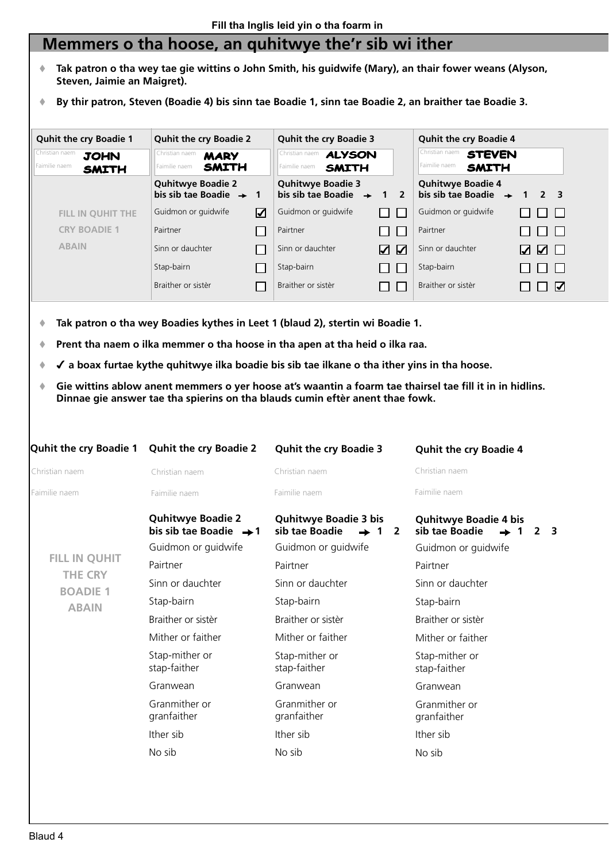## **Memmers o tha hoose, an quhitwye the'r sib wi ither**

- **Tak patron o tha wey tae gie wittins o John Smith, his guidwife (Mary), an thair fower weans (Alyson, Steven, Jaimie an Maigret).**
- **By thir patron, Steven (Boadie 4) bis sinn tae Boadie 1, sinn tae Boadie 2, an braither tae Boadie 3.**



- **Tak patron o tha wey Boadies kythes in Leet 1 (blaud 2), stertin wi Boadie 1.**
- **Prent tha naem o ilka memmer o tha hoose in tha apen at tha heid o ilka raa.**
- ✔ **a boax furtae kythe quhitwye ilka boadie bis sib tae ilkane o tha ither yins in tha hoose.**
- **Gie wittins ablow anent memmers o yer hoose at's waantin a foarm tae thairsel tae fill it in in hidlins. Dinnae gie answer tae tha spierins on tha blauds cumin eftèr anent thae fowk.**

| <b>Quhit the cry Boadie 1</b>   | <b>Quhit the cry Boadie 2</b>                                  | <b>Quhit the cry Boadie 3</b>                            | <b>Quhit the cry Boadie 4</b>                                                                             |
|---------------------------------|----------------------------------------------------------------|----------------------------------------------------------|-----------------------------------------------------------------------------------------------------------|
| Christian naem                  | Christian naem                                                 | Christian naem                                           | Christian naem                                                                                            |
| Faimilie naem                   | Faimilie naem                                                  | Faimilie naem                                            | Faimilie naem                                                                                             |
|                                 | <b>Quhitwye Boadie 2</b><br>bis sib tae Boadie $\rightarrow 1$ | <b>Quhitwye Boadie 3 bis</b><br>sib tae Boadie<br>1<br>2 | <b>Quhitwye Boadie 4 bis</b><br>sib tae Boadie<br>$\overline{\mathbf{3}}$<br>$\mathbf 1$<br>$\mathcal{P}$ |
|                                 | Guidmon or guidwife                                            | Guidmon or guidwife                                      | Guidmon or guidwife                                                                                       |
| <b>FILL IN QUHIT</b>            | Pairtner                                                       | Pairtner                                                 | Pairtner                                                                                                  |
| <b>THE CRY</b>                  | Sinn or dauchter                                               | Sinn or dauchter                                         | Sinn or dauchter                                                                                          |
| <b>BOADIE 1</b><br><b>ABAIN</b> | Stap-bairn                                                     | Stap-bairn                                               | Stap-bairn                                                                                                |
|                                 | Braither or sistèr                                             | Braither or sistèr                                       | Braither or sistèr                                                                                        |
|                                 | Mither or faither                                              | Mither or faither                                        | Mither or faither                                                                                         |
|                                 | Stap-mither or<br>stap-faither                                 | Stap-mither or<br>stap-faither                           | Stap-mither or<br>stap-faither                                                                            |
|                                 | Granwean                                                       | Granwean                                                 | Granwean                                                                                                  |
|                                 | Granmither or<br>granfaither                                   | Granmither or<br>granfaither                             | Granmither or<br>granfaither                                                                              |
|                                 | Ither sib                                                      | Ither sib                                                | Ither sib                                                                                                 |
|                                 | No sib                                                         | No sib                                                   | No sib                                                                                                    |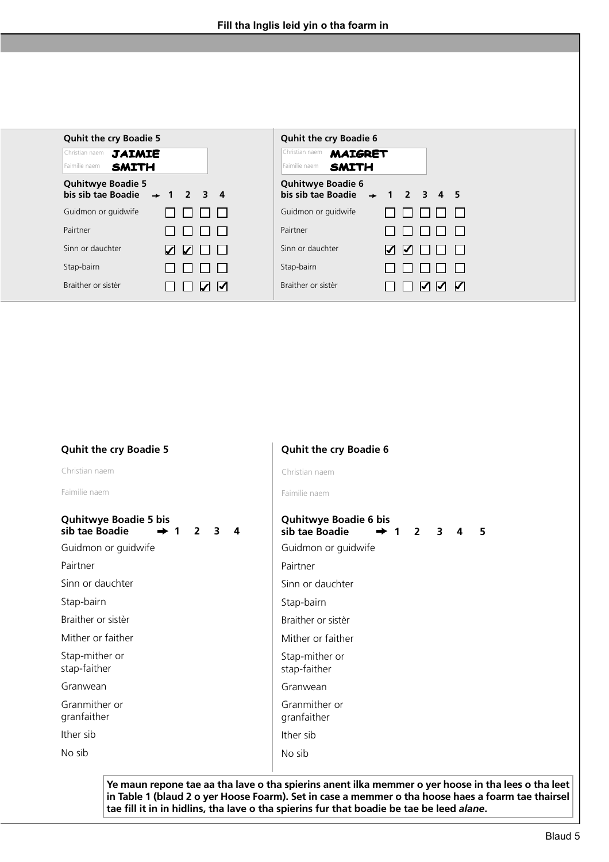| <b>Quhit the cry Boadie 5</b>                                        | <b>Quhit the cry Boadie 6</b>                                          |
|----------------------------------------------------------------------|------------------------------------------------------------------------|
| Christian naem<br><b>JAIMIE</b><br>Faimilie naem<br><b>SMITH</b>     | Christian naem<br><b>MAIGRET</b><br>Faimilie naem<br><b>SMITH</b>      |
| <b>Quhitwye Boadie 5</b><br>bis sib tae Boadie $\rightarrow$ 1 2 3 4 | <b>Quhitwye Boadie 6</b><br>bis sib tae Boadie $\rightarrow$ 1 2 3 4 5 |
| Guidmon or guidwife                                                  | Guidmon or guidwife                                                    |
| Pairtner                                                             | Pairtner                                                               |
| Sinn or dauchter<br>W M H<br>$\Box$                                  | Sinn or dauchter<br><b>Z Z O O</b>                                     |
| Stap-bairn                                                           | Stap-bairn                                                             |
| Braither or sistèr<br>$\overline{M}$                                 | Braither or sistèr<br>N N                                              |

| <b>Quhit the cry Boadie 5</b>                                                  | <b>Quhit the cry Boadie 6</b>                                                                       |
|--------------------------------------------------------------------------------|-----------------------------------------------------------------------------------------------------|
| Christian naem                                                                 | Christian naem                                                                                      |
| Faimilie naem                                                                  | Faimilie naem                                                                                       |
| <b>Quhitwye Boadie 5 bis</b><br>sib tae Boadie<br>$\mathbf{2}$<br>3<br>4<br>-1 | <b>Quhitwye Boadie 6 bis</b><br>sib tae Boadie<br>$\overline{2}$<br>$\overline{3}$<br>5<br>4<br>➡ 1 |
| Guidmon or guidwife                                                            | Guidmon or guidwife                                                                                 |
| Pairtner                                                                       | Pairtner                                                                                            |
| Sinn or dauchter                                                               | Sinn or dauchter                                                                                    |
| Stap-bairn                                                                     | Stap-bairn                                                                                          |
| Braither or sistèr                                                             | Braither or sistèr                                                                                  |
| Mither or faither                                                              | Mither or faither                                                                                   |
| Stap-mither or<br>stap-faither                                                 | Stap-mither or<br>stap-faither                                                                      |
| Granwean                                                                       | Granwean                                                                                            |
| Granmither or<br>granfaither                                                   | Granmither or<br>granfaither                                                                        |
| Ither sib                                                                      | Ither sib                                                                                           |
| No sib                                                                         | No sib                                                                                              |

**Ye maun repone tae aa tha lave o tha spierins anent ilka memmer o yer hoose in tha lees o tha leet in Table 1 (blaud 2 o yer Hoose Foarm). Set in case a memmer o tha hoose haes a foarm tae thairsel tae fill it in in hidlins, tha lave o tha spierins fur that boadie be tae be leed** *alane***.**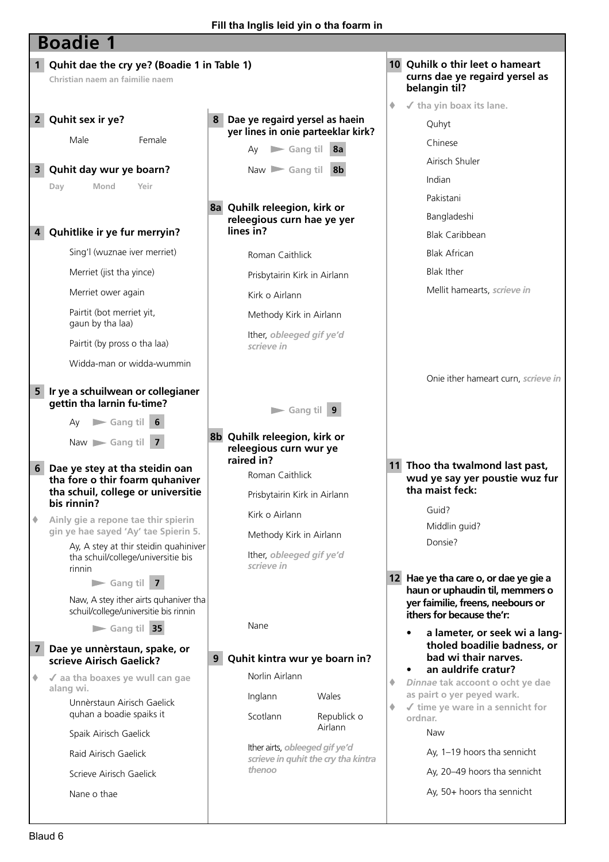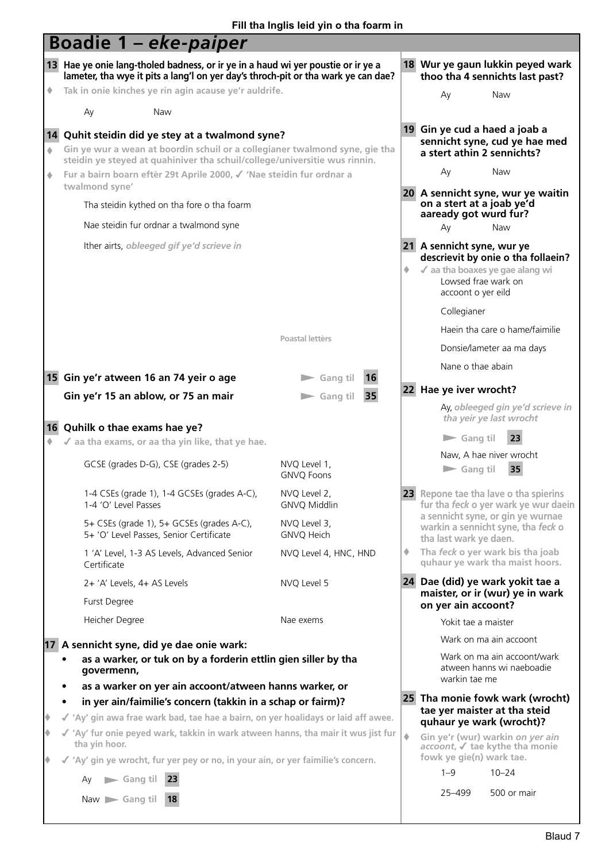|   | <b>Boadie 1 - eke-paiper</b>                                                                                                                                                                                  |                                      |   |                                                                                                                                                  |  |
|---|---------------------------------------------------------------------------------------------------------------------------------------------------------------------------------------------------------------|--------------------------------------|---|--------------------------------------------------------------------------------------------------------------------------------------------------|--|
|   | 13 Hae ye onie lang-tholed badness, or ir ye in a haud wi yer poustie or ir ye a<br>lameter, tha wye it pits a lang'l on yer day's throch-pit or tha wark ye can dae?                                         |                                      |   | 18 Wur ye gaun lukkin peyed wark<br>thoo tha 4 sennichts last past?                                                                              |  |
| ۰ | Tak in onie kinches ye rin agin acause ye'r auldrife.                                                                                                                                                         |                                      |   | Naw<br>Ay                                                                                                                                        |  |
|   | Ay<br>Naw                                                                                                                                                                                                     |                                      |   |                                                                                                                                                  |  |
| ۰ | 14 Quhit steidin did ye stey at a twalmond syne?<br>Gin ye wur a wean at boordin schuil or a collegianer twalmond syne, gie tha<br>steidin ye steyed at quahiniver tha schuil/college/universitie wus rinnin. |                                      |   | 19 Gin ye cud a haed a joab a<br>sennicht syne, cud ye hae med<br>a stert athin 2 sennichts?                                                     |  |
| ۰ | Fur a bairn boarn eftèr 29t Aprile 2000, √ 'Nae steidin fur ordnar a                                                                                                                                          |                                      |   | Ay<br>Naw                                                                                                                                        |  |
|   | twalmond syne'<br>Tha steidin kythed on tha fore o tha foarm                                                                                                                                                  |                                      |   | 20 A sennicht syne, wur ye waitin<br>on a stert at a joab ye'd                                                                                   |  |
|   | Nae steidin fur ordnar a twalmond syne                                                                                                                                                                        |                                      |   | aaready got wurd fur?<br>Naw<br>Ay                                                                                                               |  |
|   | Ither airts, obleeged gif ye'd scrieve in                                                                                                                                                                     |                                      | ۰ | 21 A sennicht syne, wur ye<br>descrievit by onie o tha follaein?<br>√ aa tha boaxes ye gae alang wi<br>Lowsed frae wark on<br>accoont o yer eild |  |
|   |                                                                                                                                                                                                               |                                      |   | Collegianer                                                                                                                                      |  |
|   |                                                                                                                                                                                                               |                                      |   | Haein tha care o hame/faimilie                                                                                                                   |  |
|   |                                                                                                                                                                                                               | Poastal lettèrs                      |   | Donsie/lameter aa ma days                                                                                                                        |  |
|   |                                                                                                                                                                                                               |                                      |   | Nane o thae abain                                                                                                                                |  |
|   | 15 Gin ye'r atween 16 an 74 yeir o age                                                                                                                                                                        | <b>16</b><br>Gang til                |   | 22 Hae ye iver wrocht?                                                                                                                           |  |
|   | Gin ye'r 15 an ablow, or 75 an mair                                                                                                                                                                           | 35<br>$\blacktriangleright$ Gang til |   | Ay, obleeged gin ye'd scrieve in<br>tha yeir ye last wrocht                                                                                      |  |
|   | 16 Quhilk o thae exams hae ye?                                                                                                                                                                                |                                      |   | $\blacktriangleright$ Gang til<br>23                                                                                                             |  |
|   | $\checkmark$ aa tha exams, or aa tha yin like, that ye hae.                                                                                                                                                   |                                      |   | Naw, A hae niver wrocht                                                                                                                          |  |
|   | GCSE (grades D-G), CSE (grades 2-5)                                                                                                                                                                           | NVQ Level 1,<br><b>GNVO Foons</b>    |   | $\blacktriangleright$ Gang til<br>35                                                                                                             |  |
|   | 1-4 CSEs (grade 1), 1-4 GCSEs (grades A-C),<br>1-4 'O' Level Passes                                                                                                                                           | NVQ Level 2,<br><b>GNVQ Middlin</b>  |   | 23 Repone tae tha lave o tha spierins<br>fur tha feck o yer wark ye wur daein<br>a sennicht syne, or gin ye wurnae                               |  |
|   | 5+ CSEs (grade 1), 5+ GCSEs (grades A-C),<br>5+ 'O' Level Passes, Senior Certificate                                                                                                                          | NVQ Level 3,<br>GNVQ Heich           |   | warkin a sennicht syne, tha feck o<br>tha last wark ye daen.                                                                                     |  |
|   | 1 'A' Level, 1-3 AS Levels, Advanced Senior<br>Certificate                                                                                                                                                    | NVQ Level 4, HNC, HND                | ۰ | Tha feck o yer wark bis tha joab<br>quhaur ye wark tha maist hoors.                                                                              |  |
|   | 2+ 'A' Levels, 4+ AS Levels                                                                                                                                                                                   | NVQ Level 5                          |   | 24 Dae (did) ye wark yokit tae a<br>maister, or ir (wur) ye in wark                                                                              |  |
|   | Furst Degree                                                                                                                                                                                                  |                                      |   | on yer ain accoont?                                                                                                                              |  |
|   | Heicher Degree                                                                                                                                                                                                | Nae exems                            |   | Yokit tae a maister                                                                                                                              |  |
|   | 17 A sennicht syne, did ye dae onie wark:                                                                                                                                                                     |                                      |   | Wark on ma ain accoont                                                                                                                           |  |
|   | as a warker, or tuk on by a forderin ettlin gien siller by tha<br>govermenn,                                                                                                                                  |                                      |   | Wark on ma ain accoont/wark<br>atween hanns wi naeboadie<br>warkin tae me                                                                        |  |
|   | as a warker on yer ain accoont/atween hanns warker, or                                                                                                                                                        |                                      |   | 25 Tha monie fowk wark (wrocht)                                                                                                                  |  |
|   | in yer ain/faimilie's concern (takkin in a schap or fairm)?<br>√ 'Ay' gin awa frae wark bad, tae hae a bairn, on yer hoalidays or laid aff awee.                                                              |                                      |   | tae yer maister at tha steid                                                                                                                     |  |
|   | √ 'Ay' fur onie peyed wark, takkin in wark atween hanns, tha mair it wus jist fur                                                                                                                             |                                      |   | quhaur ye wark (wrocht)?<br>Gin ye'r (wur) warkin on yer ain                                                                                     |  |
|   | tha yin hoor.<br>√ 'Ay' gin ye wrocht, fur yer pey or no, in your ain, or yer faimilie's concern.                                                                                                             |                                      |   | accoont, √ tae kythe tha monie<br>fowk ye gie(n) wark tae.                                                                                       |  |
|   | $\blacktriangleright$ Gang til<br>23<br>Ay                                                                                                                                                                    |                                      |   | $10 - 24$<br>$1 - 9$                                                                                                                             |  |
|   | $\mathsf{Now} \rightharpoonup \mathsf{Gang\,tilde}$<br><b>18</b>                                                                                                                                              |                                      |   | 25-499<br>500 or mair                                                                                                                            |  |